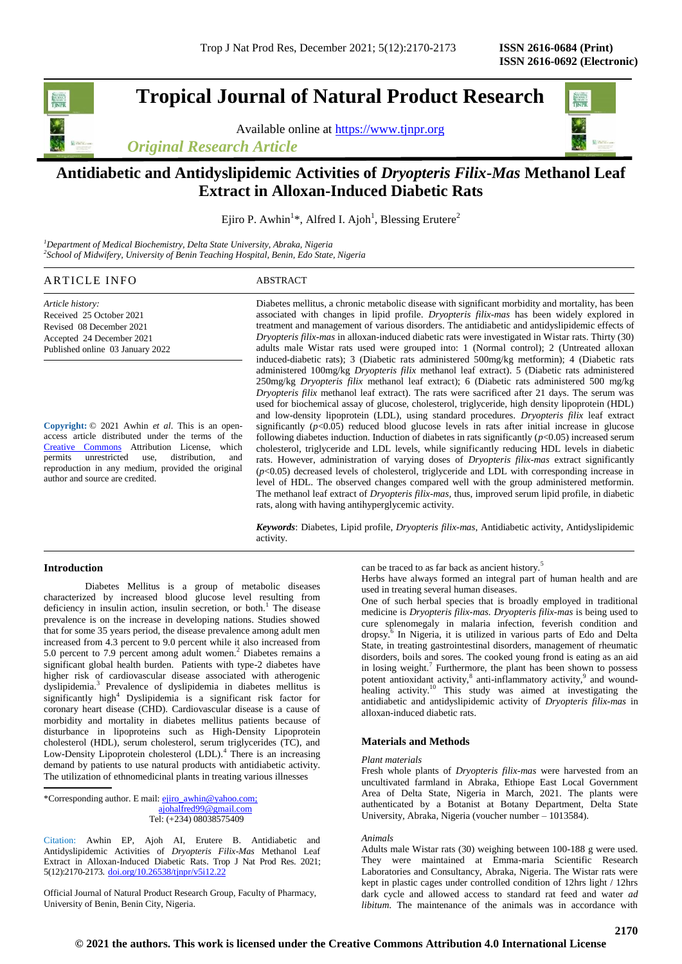# **Tropical Journal of Natural Product Research**

Available online at [https://www.tjnpr.org](https://www.tjnpr.org/)

*Original Research Article*



## **Antidiabetic and Antidyslipidemic Activities of** *Dryopteris Filix-Mas* **Methanol Leaf Extract in Alloxan-Induced Diabetic Rats**

Ejiro P. Awhin<sup>1\*</sup>, Alfred I. Ajoh<sup>1</sup>, Blessing Erutere<sup>2</sup>

*<sup>1</sup>Department of Medical Biochemistry, Delta State University, Abraka, Nigeria 2 School of Midwifery, University of Benin Teaching Hospital, Benin, Edo State, Nigeria*

## ARTICLE INFO ABSTRACT

*Article history:* Received 25 October 2021 Revised 08 December 2021 Accepted 24 December 2021 Published online 03 January 2022

**Copyright:** © 2021 Awhin *et al*. This is an openaccess article distributed under the terms of the [Creative Commons](https://creativecommons.org/licenses/by/4.0/) Attribution License, which<br>permits unrestricted use, distribution. and unrestricted use, distribution, and reproduction in any medium, provided the original author and source are credited.

Diabetes mellitus, a chronic metabolic disease with significant morbidity and mortality, has been associated with changes in lipid profile. *Dryopteris filix-mas* has been widely explored in treatment and management of various disorders. The antidiabetic and antidyslipidemic effects of *Dryopteris filix-mas* in alloxan-induced diabetic rats were investigated in Wistar rats. Thirty (30) adults male Wistar rats used were grouped into: 1 (Normal control); 2 (Untreated alloxan induced-diabetic rats); 3 (Diabetic rats administered 500mg/kg metformin); 4 (Diabetic rats administered 100mg/kg *Dryopteris filix* methanol leaf extract). 5 (Diabetic rats administered 250mg/kg *Dryopteris filix* methanol leaf extract); 6 (Diabetic rats administered 500 mg/kg *Dryopteris filix* methanol leaf extract). The rats were sacrificed after 21 days. The serum was used for biochemical assay of glucose, cholesterol, triglyceride, high density lipoprotein (HDL) and low-density lipoprotein (LDL), using standard procedures. *Dryopteris filix* leaf extract significantly  $(p<0.05)$  reduced blood glucose levels in rats after initial increase in glucose following diabetes induction. Induction of diabetes in rats significantly (*p*<0.05) increased serum cholesterol, triglyceride and LDL levels, while significantly reducing HDL levels in diabetic rats. However, administration of varying doses of *Dryopteris filix-mas* extract significantly (*p*<0.05) decreased levels of cholesterol, triglyceride and LDL with corresponding increase in level of HDL. The observed changes compared well with the group administered metformin. The methanol leaf extract of *Dryopteris filix-mas,* thus, improved serum lipid profile, in diabetic rats, along with having antihyperglycemic activity.

*Keywords*: Diabetes, Lipid profile, *Dryopteris filix-mas*, Antidiabetic activity, Antidyslipidemic activity.

## **Introduction**

Diabetes Mellitus is a group of metabolic diseases characterized by increased blood glucose level resulting from deficiency in insulin action, insulin secretion, or both.<sup>1</sup> The disease prevalence is on the increase in developing nations. Studies showed that for some 35 years period, the disease prevalence among adult men increased from 4.3 percent to 9.0 percent while it also increased from 5.0 percent to 7.9 percent among adult women.<sup>2</sup> Diabetes remains a significant global health burden. Patients with type-2 diabetes have higher risk of cardiovascular disease associated with atherogenic dyslipidemia.<sup>3</sup> Prevalence of dyslipidemia in diabetes mellitus is significantly high<sup>4</sup> Dyslipidemia is a significant risk factor for coronary heart disease (CHD). Cardiovascular disease is a cause of morbidity and mortality in diabetes mellitus patients because of disturbance in lipoproteins such as High-Density Lipoprotein cholesterol (HDL), serum cholesterol, serum triglycerides (TC), and Low-Density Lipoprotein cholesterol (LDL).<sup>4</sup> There is an increasing demand by patients to use natural products with antidiabetic activity. The utilization of ethnomedicinal plants in treating various illnesses

Tel: (+234) 08038575409

Citation: Awhin EP, Ajoh AI, Erutere B. Antidiabetic and Antidyslipidemic Activities of *Dryopteris Filix-Mas* Methanol Leaf Extract in Alloxan-Induced Diabetic Rats. Trop J Nat Prod Res. 2021; 5(12):2170-2173. [doi.org/10.26538/tjnpr/v5i12.2](http://www.doi.org/10.26538/tjnpr/v1i4.5)2

Official Journal of Natural Product Research Group, Faculty of Pharmacy, University of Benin, Benin City, Nigeria.

can be traced to as far back as ancient history.<sup>5</sup>

Herbs have always formed an integral part of human health and are used in treating several human diseases.

One of such herbal species that is broadly employed in traditional medicine is *Dryopteris filix-mas. Dryopteris filix-mas* is being used to cure splenomegaly in malaria infection, feverish condition and dropsy.<sup>6</sup> In Nigeria, it is utilized in various parts of Edo and Delta State, in treating gastrointestinal disorders, management of rheumatic disorders, boils and sores. The cooked young frond is eating as an aid in losing weight.<sup>7</sup> Furthermore, the plant has been shown to possess potent antioxidant activity,<sup>8</sup> anti-inflammatory activity,<sup>9</sup> and woundhealing activity.<sup>10</sup> This study was aimed at investigating the antidiabetic and antidyslipidemic activity of *Dryopteris filix-mas* in alloxan-induced diabetic rats.

## **Materials and Methods**

#### *Plant materials*

Fresh whole plants of *Dryopteris filix-mas* were harvested from an uncultivated farmland in Abraka, Ethiope East Local Government Area of Delta State, Nigeria in March, 2021. The plants were authenticated by a Botanist at Botany Department, Delta State University, Abraka, Nigeria (voucher number – 1013584).

#### *Animals*

Adults male Wistar rats (30) weighing between 100-188 g were used. They were maintained at Emma-maria Scientific Research Laboratories and Consultancy, Abraka, Nigeria. The Wistar rats were kept in plastic cages under controlled condition of 12hrs light / 12hrs dark cycle and allowed access to standard rat feed and water *ad libitum*. The maintenance of the animals was in accordance with

<sup>\*</sup>Corresponding author. E mail[: ejiro\\_awhin@yahoo.com;](mailto:ejiro_awhin@yahoo.com)  [ajohalfred99@gmail.com](mailto:ajohalfred99@gmail.com)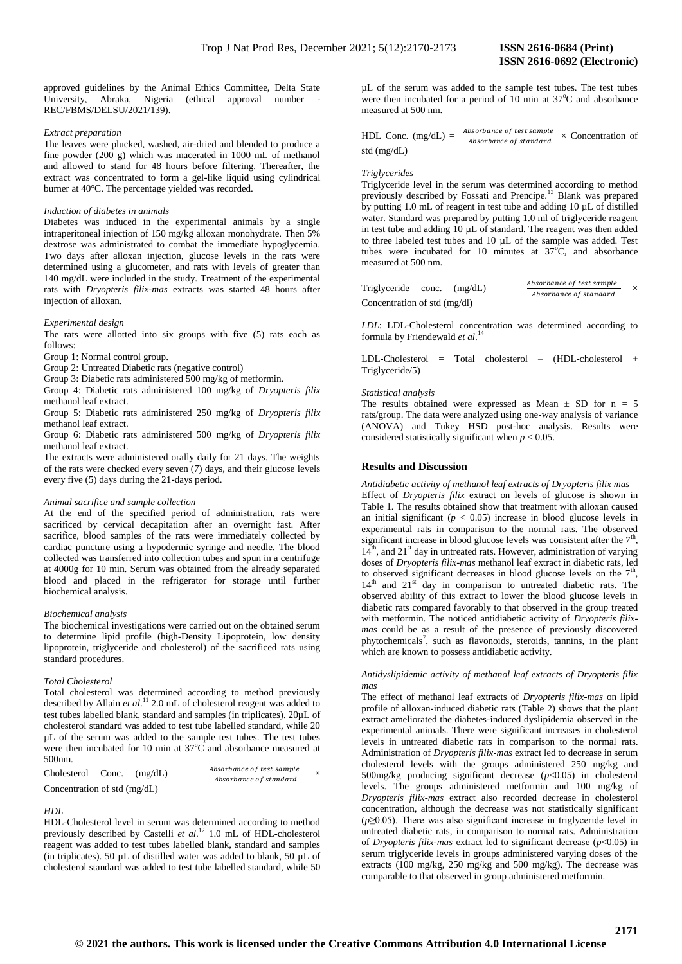approved guidelines by the Animal Ethics Committee, Delta State University, Abraka, Nigeria (ethical approval number - REC/FBMS/DELSU/2021/139).

#### *Extract preparation*

The leaves were plucked, washed, air-dried and blended to produce a fine powder (200 g) which was macerated in 1000 mL of methanol and allowed to stand for 48 hours before filtering. Thereafter, the extract was concentrated to form a gel-like liquid using cylindrical burner at 40°C. The percentage yielded was recorded.

#### *Induction of diabetes in animals*

Diabetes was induced in the experimental animals by a single intraperitoneal injection of 150 mg/kg alloxan monohydrate. Then 5% dextrose was administrated to combat the immediate hypoglycemia. Two days after alloxan injection, glucose levels in the rats were determined using a glucometer, and rats with levels of greater than 140 mg/dL were included in the study. Treatment of the experimental rats with *Dryopteris filix-mas* extracts was started 48 hours after injection of alloxan.

#### *Experimental design*

The rats were allotted into six groups with five (5) rats each as follows:

Group 1: Normal control group.

Group 2: Untreated Diabetic rats (negative control)

Group 3: Diabetic rats administered 500 mg/kg of metformin.

Group 4: Diabetic rats administered 100 mg/kg of *Dryopteris filix* methanol leaf extract.

Group 5: Diabetic rats administered 250 mg/kg of *Dryopteris filix* methanol leaf extract.

Group 6: Diabetic rats administered 500 mg/kg of *Dryopteris filix* methanol leaf extract.

The extracts were administered orally daily for 21 days. The weights of the rats were checked every seven (7) days, and their glucose levels every five (5) days during the 21-days period.

## *Animal sacrifice and sample collection*

At the end of the specified period of administration, rats were sacrificed by cervical decapitation after an overnight fast. After sacrifice, blood samples of the rats were immediately collected by cardiac puncture using a hypodermic syringe and needle. The blood collected was transferred into collection tubes and spun in a centrifuge at 4000g for 10 min. Serum was obtained from the already separated blood and placed in the refrigerator for storage until further biochemical analysis.

## *Biochemical analysis*

The biochemical investigations were carried out on the obtained serum to determine lipid profile (high-Density Lipoprotein, low density lipoprotein, triglyceride and cholesterol) of the sacrificed rats using standard procedures.

## *Total Cholesterol*

Total cholesterol was determined according to method previously described by Allain *et al.*<sup>11</sup> 2.0 mL of cholesterol reagent was added to test tubes labelled blank, standard and samples (in triplicates). 20µL of cholesterol standard was added to test tube labelled standard, while 20 µL of the serum was added to the sample test tubes. The test tubes were then incubated for 10 min at  $37^{\circ}$ C and absorbance measured at 500nm.

| Cholesterol                    | Conc. | (mg/dL) | $=$ | Absorbance of test sample |  |
|--------------------------------|-------|---------|-----|---------------------------|--|
|                                |       |         |     | Absorbance of standard    |  |
| Concentration of std $(mg/dL)$ |       |         |     |                           |  |

## *HDL*

HDL-Cholesterol level in serum was determined according to method previously described by Castelli *et al*. <sup>12</sup> 1.0 mL of HDL-cholesterol reagent was added to test tubes labelled blank, standard and samples (in triplicates). 50 µL of distilled water was added to blank, 50 µL of cholesterol standard was added to test tube labelled standard, while 50 µL of the serum was added to the sample test tubes. The test tubes were then incubated for a period of 10 min at  $37^{\circ}$ C and absorbance measured at 500 nm.

HDL Conc.  $(mg/dL) = \frac{Absorbane\ of\ test\ sample}{the energy of\ test\ signal} \times$  Concentration of Absorbance of standard std (mg/dL)

#### *Triglycerides*

Triglyceride level in the serum was determined according to method previously described by Fossati and Prencipe.<sup>13</sup> Blank was prepared by putting 1.0 mL of reagent in test tube and adding 10 µL of distilled water. Standard was prepared by putting 1.0 ml of triglyceride reagent in test tube and adding 10 µL of standard. The reagent was then added to three labeled test tubes and 10 µL of the sample was added. Test tubes were incubated for 10 minutes at  $37^{\circ}$ C, and absorbance measured at 500 nm.

Triglyceride conc.  $(mg/dL)$  =  $\label{thm:absorbance} Absorbance\,\, of\,\, test\,\, sample$ Absorbance of standard × Concentration of std (mg/dl)

*LDL*: LDL-Cholesterol concentration was determined according to formula by Friendewald *et al*. 14

LDL-Cholesterol = Total cholesterol – (HDL-cholesterol + Triglyceride/5)

#### *Statistical analysis*

The results obtained were expressed as Mean  $\pm$  SD for n = 5 rats/group. The data were analyzed using one-way analysis of variance (ANOVA) and Tukey HSD post-hoc analysis. Results were considered statistically significant when  $p < 0.05$ .

#### **Results and Discussion**

*Antidiabetic activity of methanol leaf extracts of Dryopteris filix mas* Effect of *Dryopteris filix* extract on levels of glucose is shown in Table 1. The results obtained show that treatment with alloxan caused an initial significant  $(p < 0.05)$  increase in blood glucose levels in experimental rats in comparison to the normal rats. The observed significant increase in blood glucose levels was consistent after the  $7<sup>th</sup>$ ,  $14<sup>th</sup>$ , and  $21<sup>st</sup>$  day in untreated rats. However, administration of varying doses of *Dryopteris filix-mas* methanol leaf extract in diabetic rats, led to observed significant decreases in blood glucose levels on the  $7<sup>th</sup>$ ,  $14<sup>th</sup>$  and  $21<sup>st</sup>$  day in comparison to untreated diabetic rats. The observed ability of this extract to lower the blood glucose levels in diabetic rats compared favorably to that observed in the group treated with metformin. The noticed antidiabetic activity of *Dryopteris filixmas* could be as a result of the presence of previously discovered phytochemicals<sup>7</sup>, such as flavonoids, steroids, tannins, in the plant which are known to possess antidiabetic activity.

*Antidyslipidemic activity of methanol leaf extracts of Dryopteris filix mas*

The effect of methanol leaf extracts of *Dryopteris filix-mas* on lipid profile of alloxan-induced diabetic rats (Table 2) shows that the plant extract ameliorated the diabetes-induced dyslipidemia observed in the experimental animals. There were significant increases in cholesterol levels in untreated diabetic rats in comparison to the normal rats. Administration of *Dryopteris filix-mas* extract led to decrease in serum cholesterol levels with the groups administered 250 mg/kg and 500mg/kg producing significant decrease ( $p$ <0.05) in cholesterol levels. The groups administered metformin and 100 mg/kg of *Dryopteris filix-mas* extract also recorded decrease in cholesterol concentration, although the decrease was not statistically significant (*p*≥0.05). There was also significant increase in triglyceride level in untreated diabetic rats, in comparison to normal rats. Administration of *Dryopteris filix-mas* extract led to significant decrease (*p*<0.05) in serum triglyceride levels in groups administered varying doses of the extracts (100 mg/kg, 250 mg/kg and 500 mg/kg). The decrease was comparable to that observed in group administered metformin.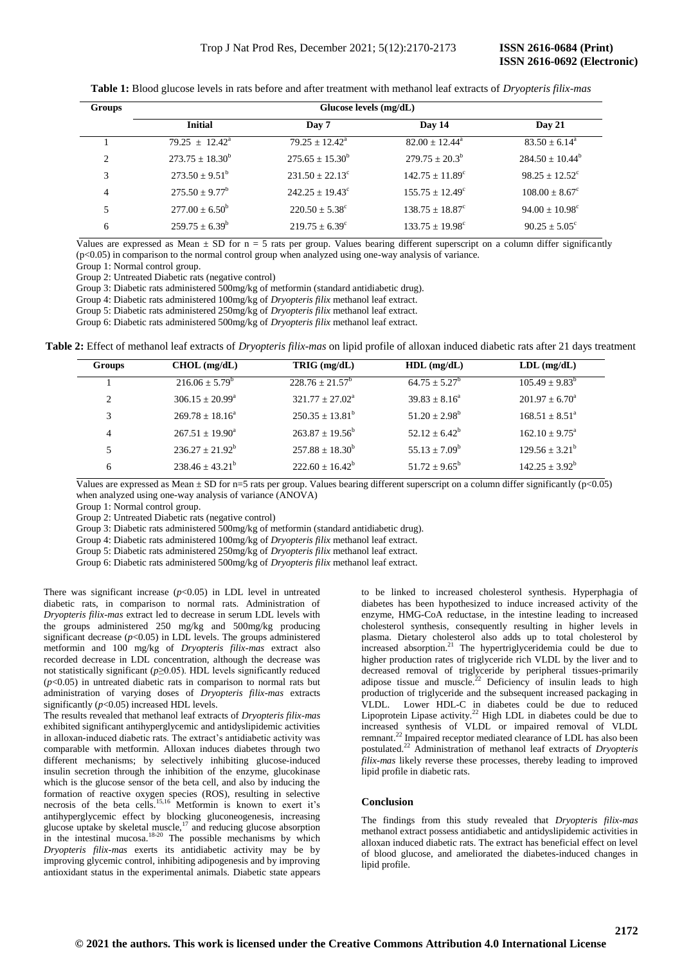**Table 1:** Blood glucose levels in rats before and after treatment with methanol leaf extracts of *Dryopteris filix-mas*

| <b>Groups</b>  | Glucose levels $(mg/dL)$  |                            |                            |                           |  |  |
|----------------|---------------------------|----------------------------|----------------------------|---------------------------|--|--|
|                | <b>Initial</b>            | Day 7                      | Day 14                     | <b>Day 21</b>             |  |  |
|                | $79.25 + 12.42^a$         | $79.25 + 12.42^a$          | $82.00 + 12.44^{\circ}$    | $83.50 \pm 6.14^{\circ}$  |  |  |
| 2              | $273.75 + 18.30^b$        | $275.65 \pm 15.30^b$       | $279.75 + 20.3^b$          | $284.50 \pm 10.44^b$      |  |  |
| 3              | $273.50 \pm 9.51^{\rm b}$ | $231.50 \pm 22.13^{\circ}$ | $142.75 + 11.89^c$         | $98.25 + 12.52^{\circ}$   |  |  |
| $\overline{4}$ | $275.50 \pm 9.77^b$       | $242.25 \pm 19.43^{\circ}$ | $155.75 + 12.49^{\circ}$   | $108.00 \pm 8.67^{\circ}$ |  |  |
| 5              | $277.00 + 6.50^b$         | $220.50 \pm 5.38^{\circ}$  | $138.75 + 18.87^{\circ}$   | $94.00 \pm 10.98^{\circ}$ |  |  |
| 6              | $259.75 \pm 6.39^b$       | $219.75 + 6.39^{\circ}$    | $133.75 \pm 19.98^{\circ}$ | $90.25 \pm 5.05^{\circ}$  |  |  |

Values are expressed as Mean  $\pm$  SD for n = 5 rats per group. Values bearing different superscript on a column differ significantly (p<0.05) in comparison to the normal control group when analyzed using one-way analysis of variance.

Group 1: Normal control group.

Group 2: Untreated Diabetic rats (negative control)

Group 3: Diabetic rats administered 500mg/kg of metformin (standard antidiabetic drug).

Group 4: Diabetic rats administered 100mg/kg of *Dryopteris filix* methanol leaf extract.

Group 5: Diabetic rats administered 250mg/kg of *Dryopteris filix* methanol leaf extract.

Group 6: Diabetic rats administered 500mg/kg of *Dryopteris filix* methanol leaf extract.

**Table 2:** Effect of methanol leaf extracts of *Dryopteris filix-mas* on lipid profile of alloxan induced diabetic rats after 21 days treatment

| <b>Groups</b>  | $CHOL$ (mg/dL)                | TRIG (mg/dL)         | $HDL$ (mg/dL)    | $LDL$ (mg/dL)             |
|----------------|-------------------------------|----------------------|------------------|---------------------------|
|                | $216.06 + 5.79^b$             | $228.76 + 21.57^b$   | $64.75 + 5.27^b$ | $105.49 \pm 9.83^{\rm b}$ |
| $\overline{2}$ | $306.15 \pm 20.99^{\text{a}}$ | $321.77 + 27.02^a$   | $39.83 + 8.16^a$ | $201.97 \pm 6.70^{\circ}$ |
| 3              | $269.78 \pm 18.16^a$          | $250.35 + 13.81^b$   | $51.20 + 2.98^b$ | $168.51 + 8.51a$          |
| 4              | $267.51 + 19.90^a$            | $263.87 + 19.56^b$   | $52.12 + 6.42^b$ | $162.10 \pm 9.75^{\circ}$ |
| 5              | $236.27 \pm 21.92^b$          | $257.88 + 18.30^{b}$ | $55.13 + 7.09^b$ | $129.56 \pm 3.21^{\rm b}$ |
| 6              | $238.46 \pm 43.21^{\rm b}$    | $222.60 \pm 16.42^b$ | $51.72 + 9.65^b$ | $142.25 \pm 3.92^b$       |

Values are expressed as Mean  $\pm$  SD for n=5 rats per group. Values bearing different superscript on a column differ significantly (p<0.05) when analyzed using one-way analysis of variance (ANOVA)

Group 1: Normal control group.

Group 2: Untreated Diabetic rats (negative control)

Group 3: Diabetic rats administered 500mg/kg of metformin (standard antidiabetic drug).

Group 4: Diabetic rats administered 100mg/kg of *Dryopteris filix* methanol leaf extract.

Group 5: Diabetic rats administered 250mg/kg of *Dryopteris filix* methanol leaf extract.

Group 6: Diabetic rats administered 500mg/kg of *Dryopteris filix* methanol leaf extract.

There was significant increase (*p*<0.05) in LDL level in untreated diabetic rats, in comparison to normal rats. Administration of *Dryopteris filix-mas* extract led to decrease in serum LDL levels with the groups administered 250 mg/kg and 500mg/kg producing significant decrease  $(p<0.05)$  in LDL levels. The groups administered metformin and 100 mg/kg of *Dryopteris filix-mas* extract also recorded decrease in LDL concentration, although the decrease was not statistically significant (*p*≥0.05). HDL levels significantly reduced  $(p<0.05)$  in untreated diabetic rats in comparison to normal rats but administration of varying doses of *Dryopteris filix-mas* extracts significantly (*p*<0.05) increased HDL levels.

The results revealed that methanol leaf extracts of *Dryopteris filix-mas*  exhibited significant antihyperglycemic and antidyslipidemic activities in alloxan-induced diabetic rats. The extract's antidiabetic activity was comparable with metformin. Alloxan induces diabetes through two different mechanisms; by selectively inhibiting glucose-induced insulin secretion through the inhibition of the enzyme, glucokinase which is the glucose sensor of the beta cell, and also by inducing the formation of reactive oxygen species (ROS), resulting in selective necrosis of the beta cells.15,16 Metformin is known to exert it's antihyperglycemic effect by blocking gluconeogenesis, increasing glucose uptake by skeletal muscle, $17$  and reducing glucose absorption in the intestinal mucosa.<sup>18-20</sup> The possible mechanisms by which *Dryopteris filix-mas* exerts its antidiabetic activity may be by improving glycemic control, inhibiting adipogenesis and by improving antioxidant status in the experimental animals. Diabetic state appears

to be linked to increased cholesterol synthesis. Hyperphagia of diabetes has been hypothesized to induce increased activity of the enzyme, HMG-CoA reductase, in the intestine leading to increased cholesterol synthesis, consequently resulting in higher levels in plasma. Dietary cholesterol also adds up to total cholesterol by phasma: Eleany embested also dates up to total embested by increased absorption.<sup>21</sup> The hypertriglyceridemia could be due to higher production rates of triglyceride rich VLDL by the liver and to decreased removal of triglyceride by peripheral tissues-primarily adipose tissue and muscle.<sup>22</sup> Deficiency of insulin leads to high production of triglyceride and the subsequent increased packaging in VLDL. Lower HDL-C in diabetes could be due to reduced Lipoprotein Lipase activity.<sup>22</sup> High LDL in diabetes could be due to increased synthesis of VLDL or impaired removal of VLDL remnant.<sup>22</sup> Impaired receptor mediated clearance of LDL has also been postulated.<sup>22</sup> Administration of methanol leaf extracts of *Dryopteris filix-mas* likely reverse these processes, thereby leading to improved lipid profile in diabetic rats.

## **Conclusion**

The findings from this study revealed that *Dryopteris filix-mas* methanol extract possess antidiabetic and antidyslipidemic activities in alloxan induced diabetic rats. The extract has beneficial effect on level of blood glucose, and ameliorated the diabetes-induced changes in lipid profile.